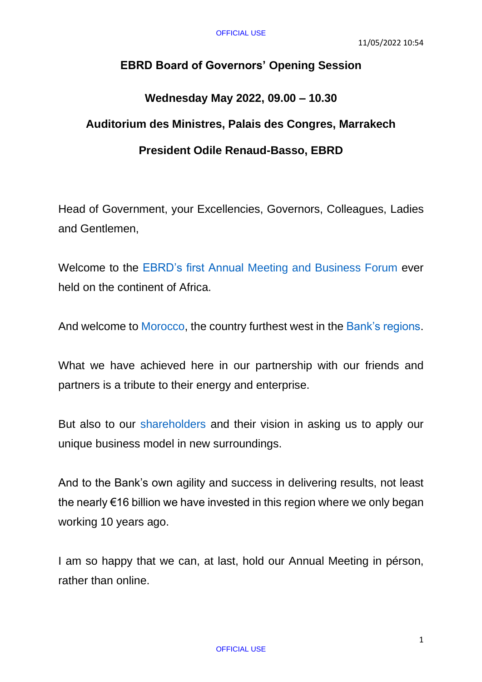## **EBRD Board of Governors' Opening Session**

## **Wednesday May 2022, 09.00 – 10.30 Auditorium des Ministres, Palais des Congres, Marrakech President Odile Renaud-Basso, EBRD**

Head of Government, your Excellencies, Governors, Colleagues, Ladies and Gentlemen,

Welcome to the [EBRD's first Annual Meeting and Business Forum](https://www.ebrd.com/ebrd-annual-meeting-business-forum-2022) ever held on the continent of Africa.

And welcome to [Morocco,](https://www.ebrd.com/morocco.html) the country furthest west in the [Bank's regions.](https://www.ebrd.com/where-we-are.html)

What we have achieved here in our partnership with our friends and partners is a tribute to their energy and enterprise.

But also to our [shareholders](https://www.ebrd.com/shareholders-and-board-of-governors.html) and their vision in asking us to apply our unique business model in new surroundings.

And to the Bank's own agility and success in delivering results, not least the nearly €16 billion we have invested in this region where we only began working 10 years ago.

I am so happy that we can, at last, hold our Annual Meeting in pérson, rather than online.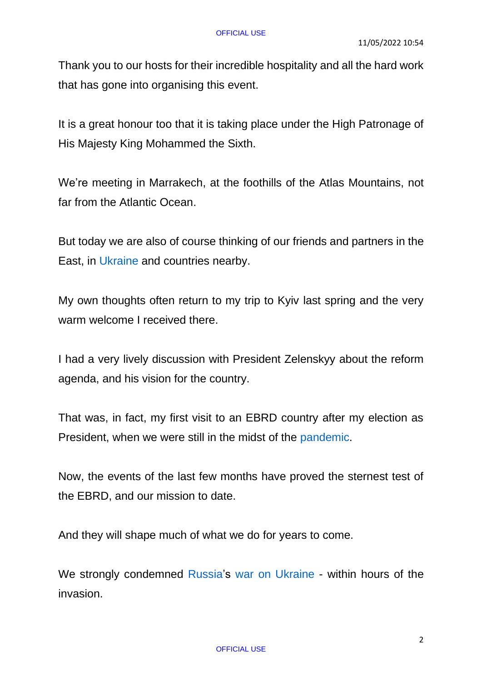Thank you to our hosts for their incredible hospitality and all the hard work that has gone into organising this event.

It is a great honour too that it is taking place under the High Patronage of His Majesty King Mohammed the Sixth.

We're meeting in Marrakech, at the foothills of the Atlas Mountains, not far from the Atlantic Ocean.

But today we are also of course thinking of our friends and partners in the East, in [Ukraine](https://www.ebrd.com/ukraine.html) and countries nearby.

My own thoughts often return to my trip to Kyiv last spring and the very warm welcome I received there.

I had a very lively discussion with President Zelenskyy about the reform agenda, and his vision for the country.

That was, in fact, my first visit to an EBRD country after my election as President, when we were still in the midst of the [pandemic.](https://www.ebrd.com/what-we-do/coronavirus)

Now, the events of the last few months have proved the sternest test of the EBRD, and our mission to date.

And they will shape much of what we do for years to come.

We strongly condemned [Russia'](https://www.ebrd.com/russia.html)s [war on Ukraine](https://www.ebrd.com/what-we-do/war-on-ukraine) - within hours of the invasion.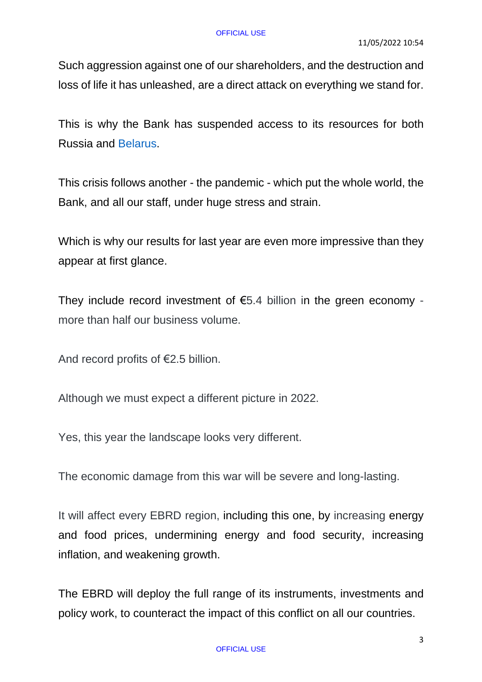Such aggression against one of our shareholders, and the destruction and loss of life it has unleashed, are a direct attack on everything we stand for.

This is why the Bank has suspended access to its resources for both Russia and [Belarus.](https://www.ebrd.com/belarus.html)

This crisis follows another - the pandemic - which put the whole world, the Bank, and all our staff, under huge stress and strain.

Which is why our results for last year are even more impressive than they appear at first glance.

They include record investment of  $E$ 5.4 billion in the green economy more than half our business volume.

And record profits of €2.5 billion.

Although we must expect a different picture in 2022.

Yes, this year the landscape looks very different.

The economic damage from this war will be severe and long-lasting.

It will affect every EBRD region, including this one, by increasing energy and food prices, undermining energy and food security, increasing inflation, and weakening growth.

The EBRD will deploy the full range of its instruments, investments and policy work, to counteract the impact of this conflict on all our countries.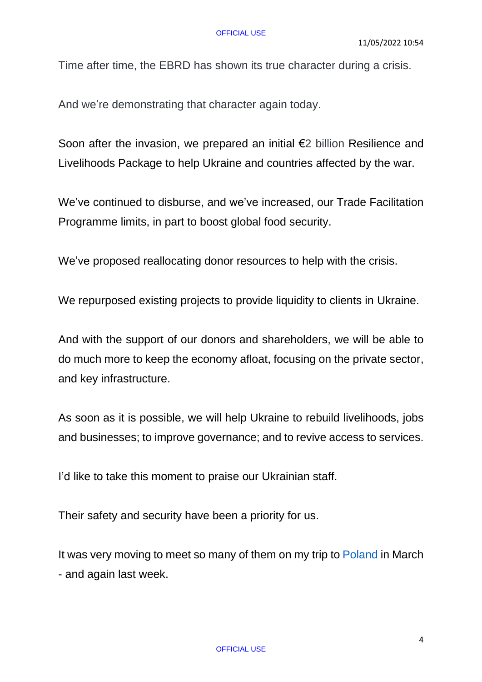Time after time, the EBRD has shown its true character during a crisis.

And we're demonstrating that character again today.

Soon after the invasion, we prepared an initial €2 billion Resilience and Livelihoods Package to help Ukraine and countries affected by the war.

We've continued to disburse, and we've increased, our Trade Facilitation Programme limits, in part to boost global food security.

We've proposed reallocating donor resources to help with the crisis.

We repurposed existing projects to provide liquidity to clients in Ukraine.

And with the support of our donors and shareholders, we will be able to do much more to keep the economy afloat, focusing on the private sector, and key infrastructure.

As soon as it is possible, we will help Ukraine to rebuild livelihoods, jobs and businesses; to improve governance; and to revive access to services.

I'd like to take this moment to praise our Ukrainian staff.

Their safety and security have been a priority for us.

It was very moving to meet so many of them on my trip to [Poland](https://www.ebrd.com/poland.html) in March - and again last week.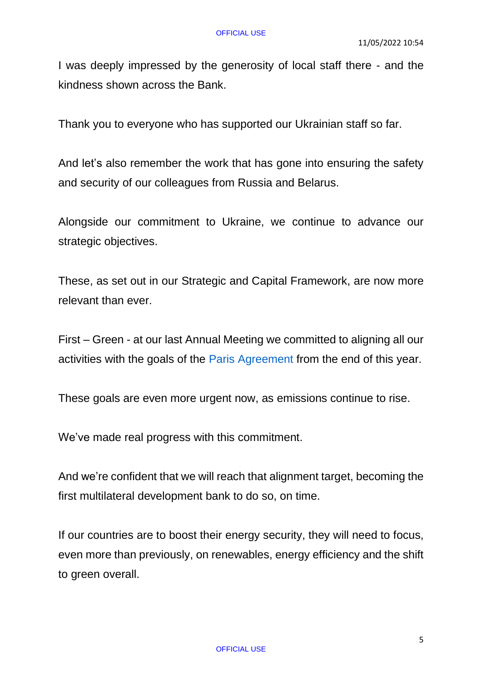I was deeply impressed by the generosity of local staff there - and the kindness shown across the Bank.

Thank you to everyone who has supported our Ukrainian staff so far.

And let's also remember the work that has gone into ensuring the safety and security of our colleagues from Russia and Belarus.

Alongside our commitment to Ukraine, we continue to advance our strategic objectives.

These, as set out in our Strategic and Capital Framework, are now more relevant than ever.

First – Green - at our last Annual Meeting we committed to aligning all our activities with the goals of the [Paris Agreement](https://www.ebrd.com/paris-agreement) from the end of this year.

These goals are even more urgent now, as emissions continue to rise.

We've made real progress with this commitment.

And we're confident that we will reach that alignment target, becoming the first multilateral development bank to do so, on time.

If our countries are to boost their energy security, they will need to focus, even more than previously, on renewables, energy efficiency and the shift to green overall.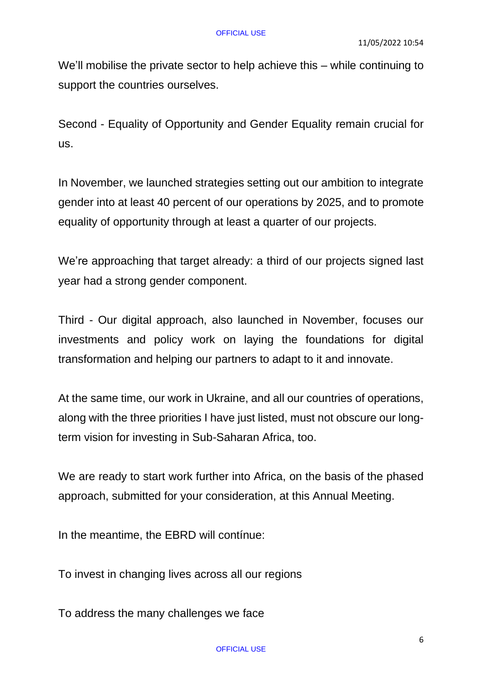We'll mobilise the private sector to help achieve this – while continuing to support the countries ourselves.

Second - Equality of Opportunity and Gender Equality remain crucial for us.

In November, we launched strategies setting out our ambition to integrate gender into at least 40 percent of our operations by 2025, and to promote equality of opportunity through at least a quarter of our projects.

We're approaching that target already: a third of our projects signed last year had a strong gender component.

Third - Our digital approach, also launched in November, focuses our investments and policy work on laying the foundations for digital transformation and helping our partners to adapt to it and innovate.

At the same time, our work in Ukraine, and all our countries of operations, along with the three priorities I have just listed, must not obscure our longterm vision for investing in Sub-Saharan Africa, too.

We are ready to start work further into Africa, on the basis of the phased approach, submitted for your consideration, at this Annual Meeting.

In the meantime, the EBRD will contínue:

To invest in changing lives across all our regions

To address the many challenges we face